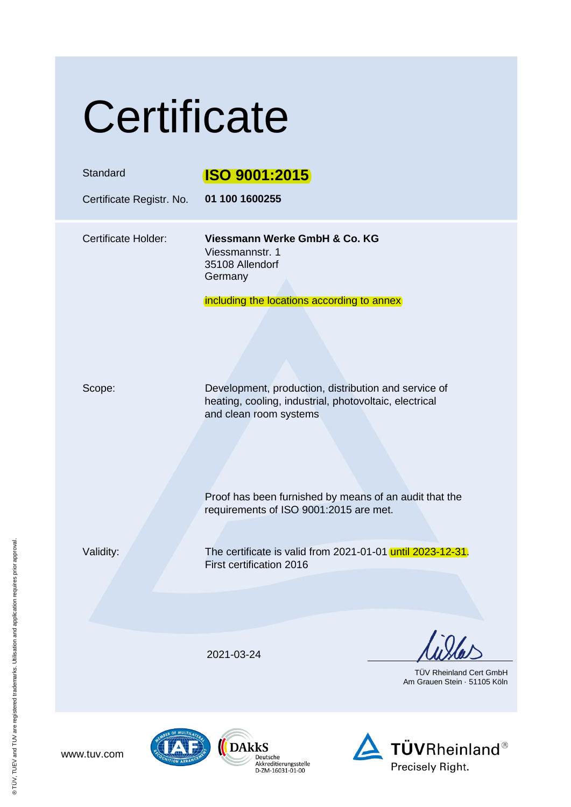|  | Certificate |  |
|--|-------------|--|
|  |             |  |

| Standard<br>Certificate Registr. No. | <b>ISO 9001:2015</b><br>01 100 1600255                                                                                                                         |
|--------------------------------------|----------------------------------------------------------------------------------------------------------------------------------------------------------------|
| <b>Certificate Holder:</b>           | Viessmann Werke GmbH & Co. KG<br>Viessmannstr. 1<br>35108 Allendorf<br>Germany<br>including the locations according to annex                                   |
| Scope:                               | Development, production, distribution and service of<br>heating, cooling, industrial, photovoltaic, electrical<br>and clean room systems                       |
| Validity:                            | Proof has been furnished by means of an audit that the<br>requirements of ISO 9001:2015 are met.<br>The certificate is valid from 2021-01-01 until 2023-12-31. |
|                                      | First certification 2016                                                                                                                                       |
|                                      | 2021-03-24<br><b>TÜV Rheinland Cert GmbH</b><br>Am Grauen Stein · 51105 Köln                                                                                   |
|                                      |                                                                                                                                                                |

www.tuv.com



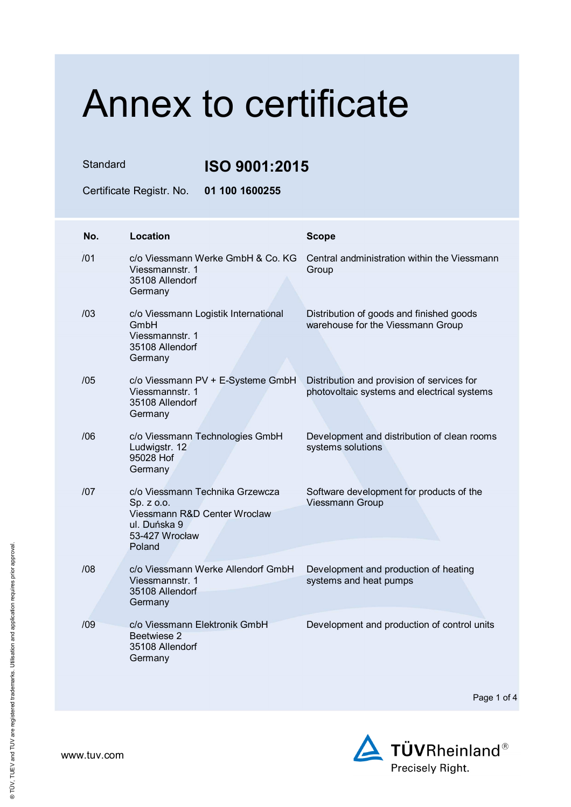Standard **ISO 9001:2015**

Certificate Registr. No. **01 100 1600255** 

| No. | Location                                                                                                                  | <b>Scope</b>                                                                              |
|-----|---------------------------------------------------------------------------------------------------------------------------|-------------------------------------------------------------------------------------------|
| /01 | c/o Viessmann Werke GmbH & Co. KG<br>Viessmannstr. 1<br>35108 Allendorf<br>Germany                                        | Central andministration within the Viessmann<br>Group                                     |
| /03 | c/o Viessmann Logistik International<br>GmbH<br>Viessmannstr. 1<br>35108 Allendorf<br>Germany                             | Distribution of goods and finished goods<br>warehouse for the Viessmann Group             |
| /05 | c/o Viessmann PV + E-Systeme GmbH<br>Viessmannstr. 1<br>35108 Allendorf<br>Germany                                        | Distribution and provision of services for<br>photovoltaic systems and electrical systems |
| /06 | c/o Viessmann Technologies GmbH<br>Ludwigstr. 12<br>95028 Hof<br>Germany                                                  | Development and distribution of clean rooms<br>systems solutions                          |
| 107 | c/o Viessmann Technika Grzewcza<br>Sp. z o.o.<br>Viessmann R&D Center Wroclaw<br>ul. Duńska 9<br>53-427 Wrocław<br>Poland | Software development for products of the<br><b>Viessmann Group</b>                        |
| /08 | c/o Viessmann Werke Allendorf GmbH<br>Viessmannstr. 1<br>35108 Allendorf<br>Germany                                       | Development and production of heating<br>systems and heat pumps                           |
| /09 | c/o Viessmann Elektronik GmbH<br>Beetwiese 2<br>35108 Allendorf<br>Germany                                                | Development and production of control units                                               |

Page 1 of 4

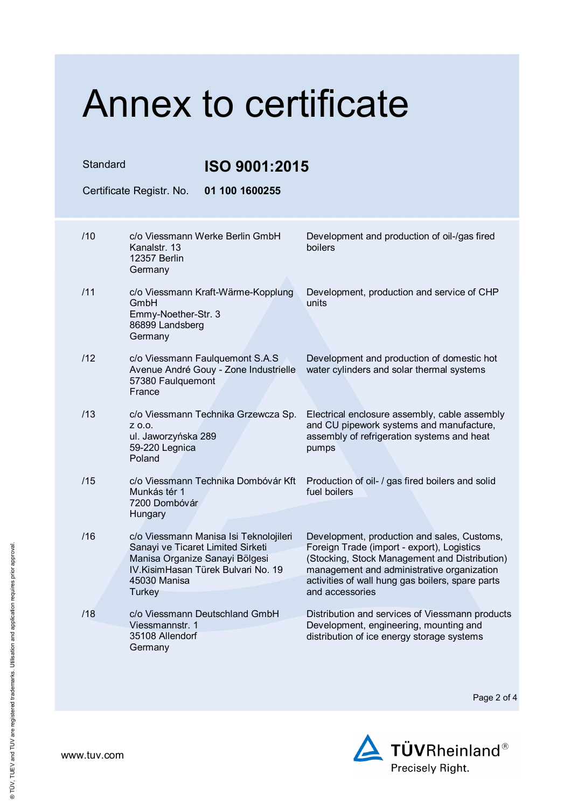Standard **ISO 9001:2015**

Certificate Registr. No. **01 100 1600255**  /10 c/o Viessmann Werke Berlin GmbH Kanalstr. 13 12357 Berlin Germany Development and production of oil-/gas fired boilers /11 c/o Viessmann Kraft-Wärme-Kopplung GmbH Emmy-Noether-Str. 3 86899 Landsberg Germany Development, production and service of CHP units /12 c/o Viessmann Faulquemont S.A.S Avenue André Gouy - Zone Industrielle 57380 Faulquemont France Development and production of domestic hot water cylinders and solar thermal systems /13 c/o Viessmann Technika Grzewcza Sp. z o.o. ul. Jaworzyńska 289 59-220 Legnica Poland Electrical enclosure assembly, cable assembly and CU pipework systems and manufacture, assembly of refrigeration systems and heat pumps /15 c/o Viessmann Technika Dombóvár Kft Munkás tér 1 7200 Dombóvár **Hungary** Production of oil- / gas fired boilers and solid fuel boilers /16 c/o Viessmann Manisa Isi Teknolojileri Sanayi ve Ticaret Limited Sirketi Manisa Organize Sanayi Bölgesi IV.KisimHasan Türek Bulvari No. 19 45030 Manisa **Turkey** Development, production and sales, Customs, Foreign Trade (import - export), Logistics (Stocking, Stock Management and Distribution) management and administrative organization activities of wall hung gas boilers, spare parts and accessories /18 c/o Viessmann Deutschland GmbH Viessmannstr. 1 35108 Allendorf Germany Distribution and services of Viessmann products Development, engineering, mounting and distribution of ice energy storage systems

Page 2 of 4

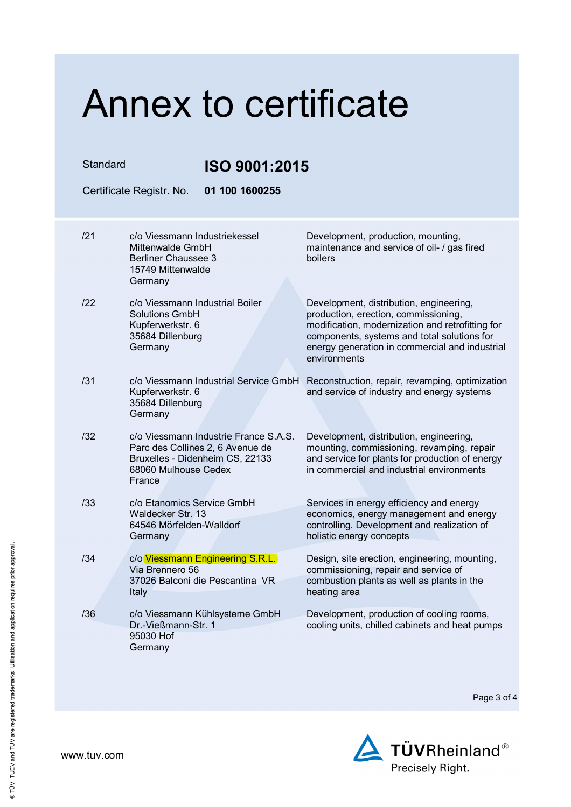| Standard | ISO 9001:2015                                                                                                                                  |                                                                                                                                                                                                                                                      |
|----------|------------------------------------------------------------------------------------------------------------------------------------------------|------------------------------------------------------------------------------------------------------------------------------------------------------------------------------------------------------------------------------------------------------|
|          | 01 100 1600255<br>Certificate Registr. No.                                                                                                     |                                                                                                                                                                                                                                                      |
| /21      | c/o Viessmann Industriekessel<br>Mittenwalde GmbH<br><b>Berliner Chaussee 3</b><br>15749 Mittenwalde                                           | Development, production, mounting,<br>maintenance and service of oil- / gas fired<br>boilers                                                                                                                                                         |
| 122      | Germany<br>c/o Viessmann Industrial Boiler<br><b>Solutions GmbH</b><br>Kupferwerkstr. 6<br>35684 Dillenburg<br>Germany                         | Development, distribution, engineering,<br>production, erection, commissioning,<br>modification, modernization and retrofitting for<br>components, systems and total solutions for<br>energy generation in commercial and industrial<br>environments |
| /31      | c/o Viessmann Industrial Service GmbH<br>Kupferwerkstr. 6<br>35684 Dillenburg<br>Germany                                                       | Reconstruction, repair, revamping, optimization<br>and service of industry and energy systems                                                                                                                                                        |
| /32      | c/o Viessmann Industrie France S.A.S.<br>Parc des Collines 2, 6 Avenue de<br>Bruxelles - Didenheim CS, 22133<br>68060 Mulhouse Cedex<br>France | Development, distribution, engineering,<br>mounting, commissioning, revamping, repair<br>and service for plants for production of energy<br>in commercial and industrial environments                                                                |
| /33      | c/o Etanomics Service GmbH<br>Waldecker Str. 13<br>64546 Mörfelden-Walldorf<br>Germany                                                         | Services in energy efficiency and energy<br>economics, energy management and energy<br>controlling. Development and realization of<br>holistic energy concepts                                                                                       |
| /34      | c/o Viessmann Engineering S.R.L.<br>Via Brennero 56<br>37026 Balconi die Pescantina VR<br>Italy                                                | Design, site erection, engineering, mounting,<br>commissioning, repair and service of<br>combustion plants as well as plants in the<br>heating area                                                                                                  |
| /36      | c/o Viessmann Kühlsysteme GmbH<br>Dr.-Vießmann-Str. 1<br>95030 Hof<br>Germany                                                                  | Development, production of cooling rooms,<br>cooling units, chilled cabinets and heat pumps                                                                                                                                                          |

Page 3 of 4